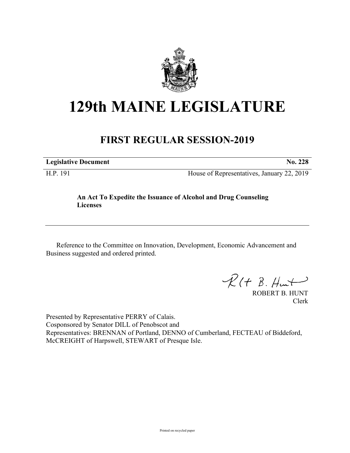

## **129th MAINE LEGISLATURE**

## **FIRST REGULAR SESSION-2019**

| <b>Legislative Document</b> | No. 228 |
|-----------------------------|---------|
|                             |         |

H.P. 191 House of Representatives, January 22, 2019

## **An Act To Expedite the Issuance of Alcohol and Drug Counseling Licenses**

Reference to the Committee on Innovation, Development, Economic Advancement and Business suggested and ordered printed.

 $\mathcal{R}(t \; \mathcal{B}, \mathcal{H}_{\mathsf{int}})$ 

ROBERT B. HUNT Clerk

Presented by Representative PERRY of Calais. Cosponsored by Senator DILL of Penobscot and Representatives: BRENNAN of Portland, DENNO of Cumberland, FECTEAU of Biddeford, McCREIGHT of Harpswell, STEWART of Presque Isle.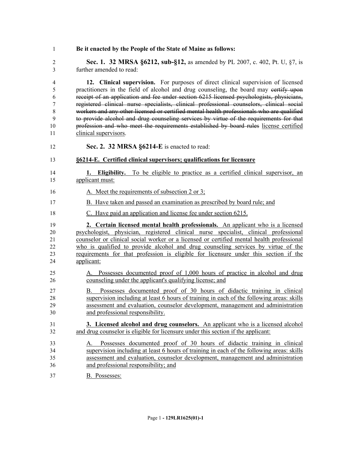- **Be it enacted by the People of the State of Maine as follows: Sec. 1. 32 MRSA §6212, sub-§12,** as amended by PL 2007, c. 402, Pt. U, §7, is further amended to read: **12. Clinical supervision.** For purposes of direct clinical supervision of licensed practitioners in the field of alcohol and drug counseling, the board may certify upon receipt of an application and fee under section 6215 licensed psychologists, physicians, registered clinical nurse specialists, clinical professional counselors, clinical social workers and any other licensed or certified mental health professionals who are qualified to provide alcohol and drug counseling services by virtue of the requirements for that profession and who meet the requirements established by board rules license certified clinical supervisors. **Sec. 2. 32 MRSA §6214-E** is enacted to read: **§6214-E. Certified clinical supervisors; qualifications for licensure 1. Eligibility.** To be eligible to practice as a certified clinical supervisor, an applicant must: 16 A. Meet the requirements of subsection 2 or 3; B. Have taken and passed an examination as prescribed by board rule; and C. Have paid an application and license fee under section 6215. **2. Certain licensed mental health professionals.** An applicant who is a licensed psychologist, physician, registered clinical nurse specialist, clinical professional counselor or clinical social worker or a licensed or certified mental health professional who is qualified to provide alcohol and drug counseling services by virtue of the requirements for that profession is eligible for licensure under this section if the applicant: A. Possesses documented proof of 1,000 hours of practice in alcohol and drug counseling under the applicant's qualifying license; and B. Possesses documented proof of 30 hours of didactic training in clinical supervision including at least 6 hours of training in each of the following areas: skills assessment and evaluation, counselor development, management and administration and professional responsibility. **3. Licensed alcohol and drug counselors.** An applicant who is a licensed alcohol and drug counselor is eligible for licensure under this section if the applicant: A. Possesses documented proof of 30 hours of didactic training in clinical supervision including at least 6 hours of training in each of the following areas: skills assessment and evaluation, counselor development, management and administration and professional responsibility; and
- B. Possesses: